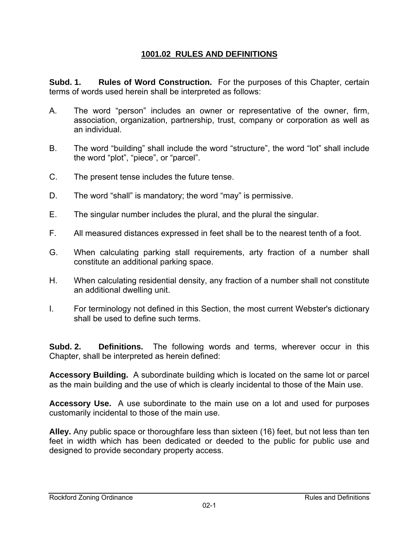# **1001.02 RULES AND DEFINITIONS**

**Subd. 1.** Rules of Word Construction. For the purposes of this Chapter, certain terms of words used herein shall be interpreted as follows:

- A. The word "person" includes an owner or representative of the owner, firm, association, organization, partnership, trust, company or corporation as well as an individual.
- B. The word "building" shall include the word "structure", the word "lot" shall include the word "plot", "piece", or "parcel".
- C. The present tense includes the future tense.
- D. The word "shall" is mandatory; the word "may" is permissive.
- E. The singular number includes the plural, and the plural the singular.
- F. All measured distances expressed in feet shall be to the nearest tenth of a foot.
- G. When calculating parking stall requirements, arty fraction of a number shall constitute an additional parking space.
- H. When calculating residential density, any fraction of a number shall not constitute an additional dwelling unit.
- I. For terminology not defined in this Section, the most current Webster's dictionary shall be used to define such terms.

**Subd. 2. Definitions.** The following words and terms, wherever occur in this Chapter, shall be interpreted as herein defined:

**Accessory Building.** A subordinate building which is located on the same lot or parcel as the main building and the use of which is clearly incidental to those of the Main use.

**Accessory Use.** A use subordinate to the main use on a lot and used for purposes customarily incidental to those of the main use.

**Alley.** Any public space or thoroughfare less than sixteen (16) feet, but not less than ten feet in width which has been dedicated or deeded to the public for public use and designed to provide secondary property access.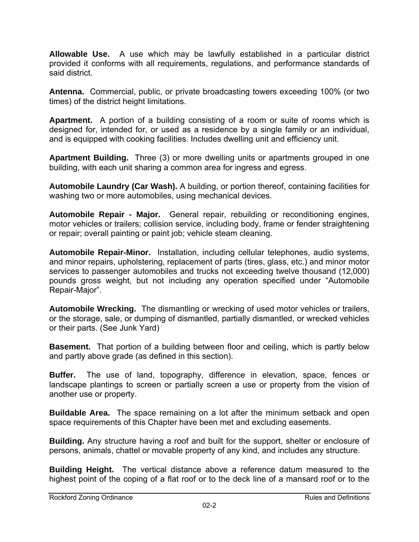**Allowable Use.** A use which may be lawfully established in a particular district provided it conforms with all requirements, regulations, and performance standards of said district.

**Antenna.** Commercial, public, or private broadcasting towers exceeding 100% (or two times) of the district height limitations.

**Apartment.** A portion of a building consisting of a room or suite of rooms which is designed for, intended for, or used as a residence by a single family or an individual, and is equipped with cooking facilities. Includes dwelling unit and efficiency unit.

**Apartment Building.** Three (3) or more dwelling units or apartments grouped in one building, with each unit sharing a common area for ingress and egress.

**Automobile Laundry (Car Wash).** A building, or portion thereof, containing facilities for washing two or more automobiles, using mechanical devices.

**Automobile Repair - Major.** General repair, rebuilding or reconditioning engines, motor vehicles or trailers; collision service, including body, frame or fender straightening or repair; overall painting or paint job; vehicle steam cleaning.

**Automobile Repair-Minor.** Installation, including cellular telephones, audio systems, and minor repairs, upholstering, replacement of parts (tires, glass, etc.) and minor motor services to passenger automobiles and trucks not exceeding twelve thousand (12,000) pounds gross weight, but not including any operation specified under "Automobile Repair-Major".

**Automobile Wrecking.** The dismantling or wrecking of used motor vehicles or trailers, or the storage, sale, or dumping of dismantled, partially dismantled, or wrecked vehicles or their parts. (See Junk Yard)

**Basement.** That portion of a building between floor and ceiling, which is partly below and partly above grade (as defined in this section).

**Buffer.** The use of land, topography, difference in elevation, space, fences or landscape plantings to screen or partially screen a use or property from the vision of another use or property.

**Buildable Area.** The space remaining on a lot after the minimum setback and open space requirements of this Chapter have been met and excluding easements.

**Building.** Any structure having a roof and built for the support, shelter or enclosure of persons, animals, chattel or movable property of any kind, and includes any structure.

**Building Height.** The vertical distance above a reference datum measured to the highest point of the coping of a flat roof or to the deck line of a mansard roof or to the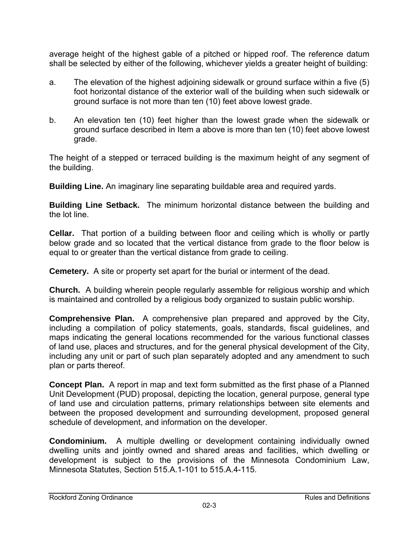average height of the highest gable of a pitched or hipped roof. The reference datum shall be selected by either of the following, whichever yields a greater height of building:

- a. The elevation of the highest adjoining sidewalk or ground surface within a five (5) foot horizontal distance of the exterior wall of the building when such sidewalk or ground surface is not more than ten (10) feet above lowest grade.
- b. An elevation ten (10) feet higher than the lowest grade when the sidewalk or ground surface described in Item a above is more than ten (10) feet above lowest grade.

The height of a stepped or terraced building is the maximum height of any segment of the building.

**Building Line.** An imaginary line separating buildable area and required yards.

**Building Line Setback.** The minimum horizontal distance between the building and the lot line.

**Cellar.** That portion of a building between floor and ceiling which is wholly or partly below grade and so located that the vertical distance from grade to the floor below is equal to or greater than the vertical distance from grade to ceiling.

**Cemetery.** A site or property set apart for the burial or interment of the dead.

**Church.** A building wherein people regularly assemble for religious worship and which is maintained and controlled by a religious body organized to sustain public worship.

**Comprehensive Plan.** A comprehensive plan prepared and approved by the City, including a compilation of policy statements, goals, standards, fiscal guidelines, and maps indicating the general locations recommended for the various functional classes of land use, places and structures, and for the general physical development of the City, including any unit or part of such plan separately adopted and any amendment to such plan or parts thereof.

**Concept Plan.** A report in map and text form submitted as the first phase of a Planned Unit Development (PUD) proposal, depicting the location, general purpose, general type of land use and circulation patterns, primary relationships between site elements and between the proposed development and surrounding development, proposed general schedule of development, and information on the developer.

**Condominium.** A multiple dwelling or development containing individually owned dwelling units and jointly owned and shared areas and facilities, which dwelling or development is subject to the provisions of the Minnesota Condominium Law, Minnesota Statutes, Section 515.A.1-101 to 515.A.4-115.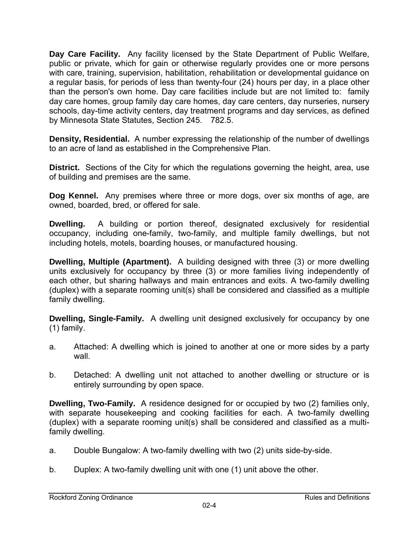**Day Care Facility.** Any facility licensed by the State Department of Public Welfare, public or private, which for gain or otherwise regularly provides one or more persons with care, training, supervision, habilitation, rehabilitation or developmental guidance on a regular basis, for periods of less than twenty-four (24) hours per day, in a place other than the person's own home. Day care facilities include but are not limited to: family day care homes, group family day care homes, day care centers, day nurseries, nursery schools, day-time activity centers, day treatment programs and day services, as defined by Minnesota State Statutes, Section 245. 782.5.

**Density, Residential.** A number expressing the relationship of the number of dwellings to an acre of land as established in the Comprehensive Plan.

**District.** Sections of the City for which the regulations governing the height, area, use of building and premises are the same.

**Dog Kennel.** Any premises where three or more dogs, over six months of age, are owned, boarded, bred, or offered for sale.

**Dwelling.** A building or portion thereof, designated exclusively for residential occupancy, including one-family, two-family, and multiple family dwellings, but not including hotels, motels, boarding houses, or manufactured housing.

**Dwelling, Multiple (Apartment).** A building designed with three (3) or more dwelling units exclusively for occupancy by three (3) or more families living independently of each other, but sharing hallways and main entrances and exits. A two-family dwelling (duplex) with a separate rooming unit(s) shall be considered and classified as a multiple family dwelling.

**Dwelling, Single-Family.** A dwelling unit designed exclusively for occupancy by one (1) family.

- a. Attached: A dwelling which is joined to another at one or more sides by a party wall.
- b. Detached: A dwelling unit not attached to another dwelling or structure or is entirely surrounding by open space.

**Dwelling, Two-Family.** A residence designed for or occupied by two (2) families only, with separate housekeeping and cooking facilities for each. A two-family dwelling (duplex) with a separate rooming unit(s) shall be considered and classified as a multifamily dwelling.

- a. Double Bungalow: A two-family dwelling with two (2) units side-by-side.
- b. Duplex: A two-family dwelling unit with one (1) unit above the other.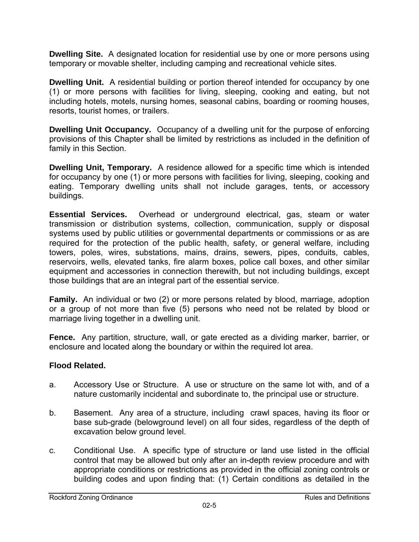**Dwelling Site.** A designated location for residential use by one or more persons using temporary or movable shelter, including camping and recreational vehicle sites.

**Dwelling Unit.** A residential building or portion thereof intended for occupancy by one (1) or more persons with facilities for living, sleeping, cooking and eating, but not including hotels, motels, nursing homes, seasonal cabins, boarding or rooming houses, resorts, tourist homes, or trailers.

**Dwelling Unit Occupancy.** Occupancy of a dwelling unit for the purpose of enforcing provisions of this Chapter shall be limited by restrictions as included in the definition of family in this Section.

**Dwelling Unit, Temporary.** A residence allowed for a specific time which is intended for occupancy by one (1) or more persons with facilities for living, sleeping, cooking and eating. Temporary dwelling units shall not include garages, tents, or accessory buildings.

**Essential Services.** Overhead or underground electrical, gas, steam or water transmission or distribution systems, collection, communication, supply or disposal systems used by public utilities or governmental departments or commissions or as are required for the protection of the public health, safety, or general welfare, including towers, poles, wires, substations, mains, drains, sewers, pipes, conduits, cables, reservoirs, wells, elevated tanks, fire alarm boxes, police call boxes, and other similar equipment and accessories in connection therewith, but not including buildings, except those buildings that are an integral part of the essential service.

**Family.** An individual or two (2) or more persons related by blood, marriage, adoption or a group of not more than five (5) persons who need not be related by blood or marriage living together in a dwelling unit.

**Fence.** Any partition, structure, wall, or gate erected as a dividing marker, barrier, or enclosure and located along the boundary or within the required lot area.

# **Flood Related.**

- a. Accessory Use or Structure. A use or structure on the same lot with, and of a nature customarily incidental and subordinate to, the principal use or structure.
- b. Basement. Any area of a structure, including crawl spaces, having its floor or base sub-grade (belowground level) on all four sides, regardless of the depth of excavation below ground level.
- c. Conditional Use. A specific type of structure or land use listed in the official control that may be allowed but only after an in-depth review procedure and with appropriate conditions or restrictions as provided in the official zoning controls or building codes and upon finding that: (1) Certain conditions as detailed in the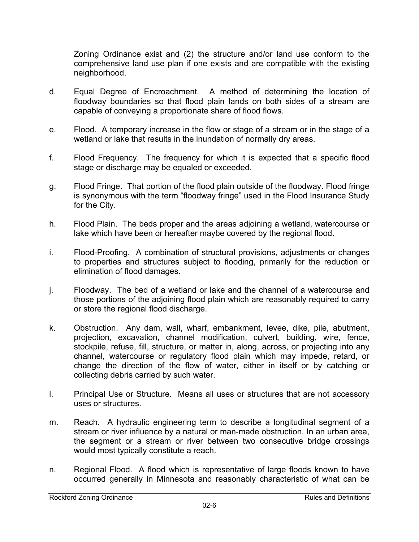Zoning Ordinance exist and (2) the structure and/or land use conform to the comprehensive land use plan if one exists and are compatible with the existing neighborhood.

- d. Equal Degree of Encroachment. A method of determining the location of floodway boundaries so that flood plain lands on both sides of a stream are capable of conveying a proportionate share of flood flows.
- e. Flood. A temporary increase in the flow or stage of a stream or in the stage of a wetland or lake that results in the inundation of normally dry areas.
- f. Flood Frequency. The frequency for which it is expected that a specific flood stage or discharge may be equaled or exceeded.
- g. Flood Fringe. That portion of the flood plain outside of the floodway. Flood fringe is synonymous with the term "floodway fringe" used in the Flood Insurance Study for the City.
- h. Flood Plain. The beds proper and the areas adjoining a wetland, watercourse or lake which have been or hereafter maybe covered by the regional flood.
- i. Flood-Proofing. A combination of structural provisions, adjustments or changes to properties and structures subject to flooding, primarily for the reduction or elimination of flood damages.
- j. Floodway. The bed of a wetland or lake and the channel of a watercourse and those portions of the adjoining flood plain which are reasonably required to carry or store the regional flood discharge.
- k. Obstruction. Any dam, wall, wharf, embankment, levee, dike, pile, abutment, projection, excavation, channel modification, culvert, building, wire, fence, stockpile, refuse, fill, structure, or matter in, along, across, or projecting into any channel, watercourse or regulatory flood plain which may impede, retard, or change the direction of the flow of water, either in itself or by catching or collecting debris carried by such water.
- l. Principal Use or Structure. Means all uses or structures that are not accessory uses or structures.
- m. Reach. A hydraulic engineering term to describe a longitudinal segment of a stream or river influence by a natural or man-made obstruction. In an urban area, the segment or a stream or river between two consecutive bridge crossings would most typically constitute a reach.
- n. Regional Flood. A flood which is representative of large floods known to have occurred generally in Minnesota and reasonably characteristic of what can be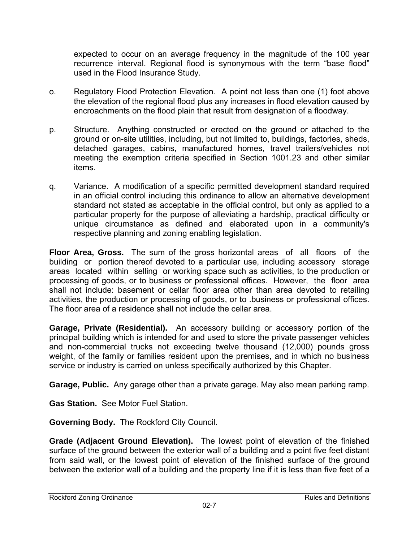expected to occur on an average frequency in the magnitude of the 100 year recurrence interval. Regional flood is synonymous with the term "base flood" used in the Flood Insurance Study.

- o. Regulatory Flood Protection Elevation. A point not less than one (1) foot above the elevation of the regional flood plus any increases in flood elevation caused by encroachments on the flood plain that result from designation of a floodway.
- p. Structure. Anything constructed or erected on the ground or attached to the ground or on-site utilities, including, but not limited to, buildings, factories, sheds, detached garages, cabins, manufactured homes, travel trailers/vehicles not meeting the exemption criteria specified in Section 1001.23 and other similar items.
- q. Variance. A modification of a specific permitted development standard required in an official control including this ordinance to allow an alternative development standard not stated as acceptable in the official control, but only as applied to a particular property for the purpose of alleviating a hardship, practical difficulty or unique circumstance as defined and elaborated upon in a community's respective planning and zoning enabling legislation.

**Floor Area, Gross.** The sum of the gross horizontal areas of all floors of the building or portion thereof devoted to a particular use, including accessory storage areas located within selling or working space such as activities, to the production or processing of goods, or to business or professional offices. However, the floor area shall not include: basement or cellar floor area other than area devoted to retailing activities, the production or processing of goods, or to .business or professional offices. The floor area of a residence shall not include the cellar area.

**Garage, Private (Residential).** An accessory building or accessory portion of the principal building which is intended for and used to store the private passenger vehicles and non-commercial trucks not exceeding twelve thousand (12,000) pounds gross weight, of the family or families resident upon the premises, and in which no business service or industry is carried on unless specifically authorized by this Chapter.

**Garage, Public.** Any garage other than a private garage. May also mean parking ramp.

**Gas Station.** See Motor Fuel Station.

**Governing Body.** The Rockford City Council.

**Grade (Adjacent Ground Elevation).** The lowest point of elevation of the finished surface of the ground between the exterior wall of a building and a point five feet distant from said wall, or the lowest point of elevation of the finished surface of the ground between the exterior wall of a building and the property line if it is less than five feet of a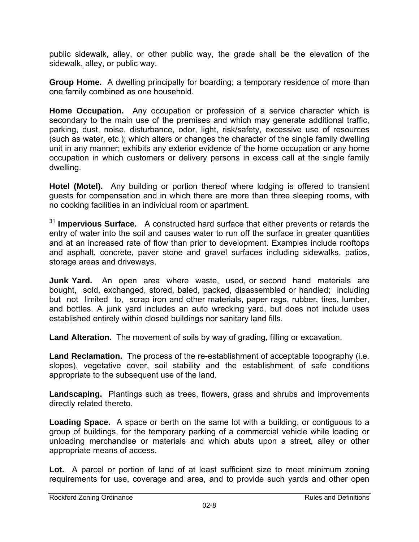public sidewalk, alley, or other public way, the grade shall be the elevation of the sidewalk, alley, or public way.

**Group Home.** A dwelling principally for boarding; a temporary residence of more than one family combined as one household.

**Home Occupation.** Any occupation or profession of a service character which is secondary to the main use of the premises and which may generate additional traffic, parking, dust, noise, disturbance, odor, light, risk/safety, excessive use of resources (such as water, etc.); which alters or changes the character of the single family dwelling unit in any manner; exhibits any exterior evidence of the home occupation or any home occupation in which customers or delivery persons in excess call at the single family dwelling.

**Hotel (Motel).** Any building or portion thereof where lodging is offered to transient guests for compensation and in which there are more than three sleeping rooms, with no cooking facilities in an individual room or apartment.

<sup>31</sup> **Impervious Surface.** A constructed hard surface that either prevents or retards the entry of water into the soil and causes water to run off the surface in greater quantities and at an increased rate of flow than prior to development. Examples include rooftops and asphalt, concrete, paver stone and gravel surfaces including sidewalks, patios, storage areas and driveways.

**Junk Yard.** An open area where waste, used, or second hand materials are bought, sold, exchanged, stored, baled, packed, disassembled or handled; including but not limited to, scrap iron and other materials, paper rags, rubber, tires, lumber, and bottles. A junk yard includes an auto wrecking yard, but does not include uses established entirely within closed buildings nor sanitary land fills.

**Land Alteration.** The movement of soils by way of grading, filling or excavation.

**Land Reclamation.** The process of the re-establishment of acceptable topography (i.e. slopes), vegetative cover, soil stability and the establishment of safe conditions appropriate to the subsequent use of the land.

**Landscaping.** Plantings such as trees, flowers, grass and shrubs and improvements directly related thereto.

**Loading Space.** A space or berth on the same lot with a building, or contiguous to a group of buildings, for the temporary parking of a commercial vehicle while loading or unloading merchandise or materials and which abuts upon a street, alley or other appropriate means of access.

Lot. A parcel or portion of land of at least sufficient size to meet minimum zoning requirements for use, coverage and area, and to provide such yards and other open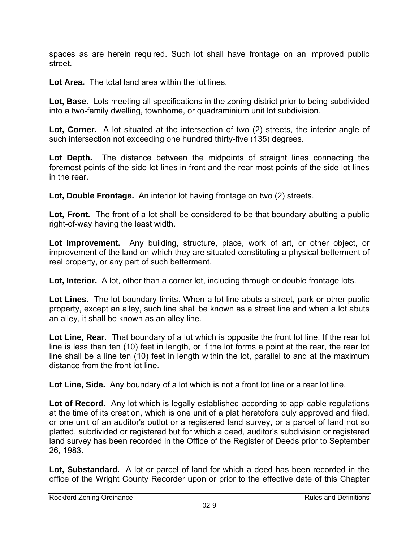spaces as are herein required. Such lot shall have frontage on an improved public street.

**Lot Area.** The total land area within the lot lines.

**Lot, Base.** Lots meeting all specifications in the zoning district prior to being subdivided into a two-family dwelling, townhome, or quadraminium unit lot subdivision.

**Lot, Corner.** A lot situated at the intersection of two (2) streets, the interior angle of such intersection not exceeding one hundred thirty-five (135) degrees.

Lot Depth. The distance between the midpoints of straight lines connecting the foremost points of the side lot lines in front and the rear most points of the side lot lines in the rear.

**Lot, Double Frontage.** An interior lot having frontage on two (2) streets.

Lot, Front. The front of a lot shall be considered to be that boundary abutting a public right-of-way having the least width.

**Lot Improvement.** Any building, structure, place, work of art, or other object, or improvement of the land on which they are situated constituting a physical betterment of real property, or any part of such betterment.

**Lot, Interior.** A lot, other than a corner lot, including through or double frontage lots.

**Lot Lines.** The lot boundary limits. When a lot line abuts a street, park or other public property, except an alley, such line shall be known as a street line and when a lot abuts an alley, it shall be known as an alley line.

**Lot Line, Rear.** That boundary of a lot which is opposite the front lot line. If the rear lot line is less than ten (10) feet in length, or if the lot forms a point at the rear, the rear lot line shall be a line ten (10) feet in length within the lot, parallel to and at the maximum distance from the front lot line.

**Lot Line, Side.** Any boundary of a lot which is not a front lot line or a rear lot line.

Lot of Record. Any lot which is legally established according to applicable regulations at the time of its creation, which is one unit of a plat heretofore duly approved and filed, or one unit of an auditor's outlot or a registered land survey, or a parcel of land not so platted, subdivided or registered but for which a deed, auditor's subdivision or registered land survey has been recorded in the Office of the Register of Deeds prior to September 26, 1983.

**Lot, Substandard.** A lot or parcel of land for which a deed has been recorded in the office of the Wright County Recorder upon or prior to the effective date of this Chapter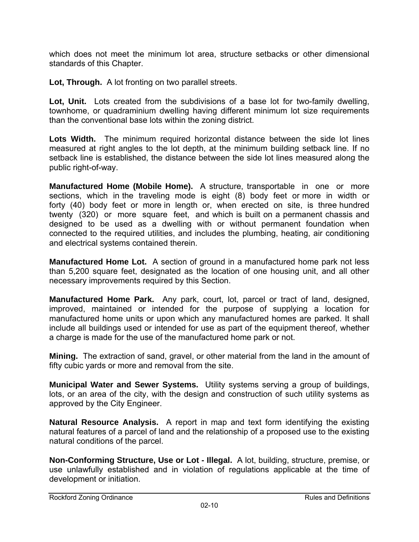which does not meet the minimum lot area, structure setbacks or other dimensional standards of this Chapter.

**Lot, Through.** A lot fronting on two parallel streets.

**Lot, Unit.** Lots created from the subdivisions of a base lot for two-family dwelling, townhome, or quadraminium dwelling having different minimum lot size requirements than the conventional base lots within the zoning district.

**Lots Width.** The minimum required horizontal distance between the side lot lines measured at right angles to the lot depth, at the minimum building setback line. If no setback line is established, the distance between the side lot lines measured along the public right-of-way.

**Manufactured Home (Mobile Home).** A structure, transportable in one or more sections, which in the traveling mode is eight (8) body feet or more in width or forty (40) body feet or more in length or, when erected on site, is three hundred twenty (320) or more square feet, and which is built on a permanent chassis and designed to be used as a dwelling with or without permanent foundation when connected to the required utilities, and includes the plumbing, heating, air conditioning and electrical systems contained therein.

**Manufactured Home Lot.** A section of ground in a manufactured home park not less than 5,200 square feet, designated as the location of one housing unit, and all other necessary improvements required by this Section.

**Manufactured Home Park.** Any park, court, lot, parcel or tract of land, designed, improved, maintained or intended for the purpose of supplying a location for manufactured home units or upon which any manufactured homes are parked. It shall include all buildings used or intended for use as part of the equipment thereof, whether a charge is made for the use of the manufactured home park or not.

**Mining.** The extraction of sand, gravel, or other material from the land in the amount of fifty cubic yards or more and removal from the site.

**Municipal Water and Sewer Systems.** Utility systems serving a group of buildings, lots, or an area of the city, with the design and construction of such utility systems as approved by the City Engineer.

**Natural Resource Analysis.** A report in map and text form identifying the existing natural features of a parcel of land and the relationship of a proposed use to the existing natural conditions of the parcel.

**Non-Conforming Structure, Use or Lot - Illegal.** A lot, building, structure, premise, or use unlawfully established and in violation of regulations applicable at the time of development or initiation.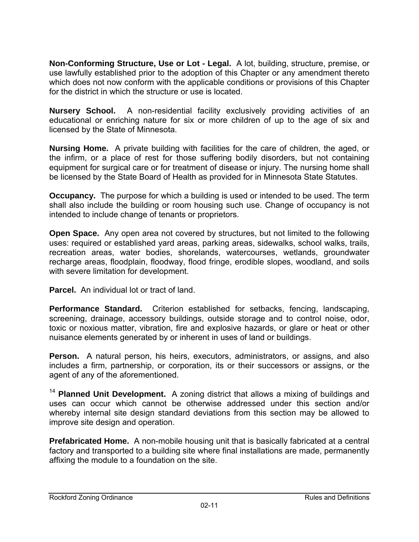**Non-Conforming Structure, Use or Lot - Legal.** A lot, building, structure, premise, or use lawfully established prior to the adoption of this Chapter or any amendment thereto which does not now conform with the applicable conditions or provisions of this Chapter for the district in which the structure or use is located.

**Nursery School.** A non-residential facility exclusively providing activities of an educational or enriching nature for six or more children of up to the age of six and licensed by the State of Minnesota.

**Nursing Home.** A private building with facilities for the care of children, the aged, or the infirm, or a place of rest for those suffering bodily disorders, but not containing equipment for surgical care or for treatment of disease or injury. The nursing home shall be licensed by the State Board of Health as provided for in Minnesota State Statutes.

**Occupancy.** The purpose for which a building is used or intended to be used. The term shall also include the building or room housing such use. Change of occupancy is not intended to include change of tenants or proprietors.

**Open Space.** Any open area not covered by structures, but not limited to the following uses: required or established yard areas, parking areas, sidewalks, school walks, trails, recreation areas, water bodies, shorelands, watercourses, wetlands, groundwater recharge areas, floodplain, floodway, flood fringe, erodible slopes, woodland, and soils with severe limitation for development.

**Parcel.** An individual lot or tract of land.

**Performance Standard.** Criterion established for setbacks, fencing, landscaping, screening, drainage, accessory buildings, outside storage and to control noise, odor, toxic or noxious matter, vibration, fire and explosive hazards, or glare or heat or other nuisance elements generated by or inherent in uses of land or buildings.

**Person.** A natural person, his heirs, executors, administrators, or assigns, and also includes a firm, partnership, or corporation, its or their successors or assigns, or the agent of any of the aforementioned.

<sup>14</sup> Planned Unit Development. A zoning district that allows a mixing of buildings and uses can occur which cannot be otherwise addressed under this section and/or whereby internal site design standard deviations from this section may be allowed to improve site design and operation.

**Prefabricated Home.** A non-mobile housing unit that is basically fabricated at a central factory and transported to a building site where final installations are made, permanently affixing the module to a foundation on the site.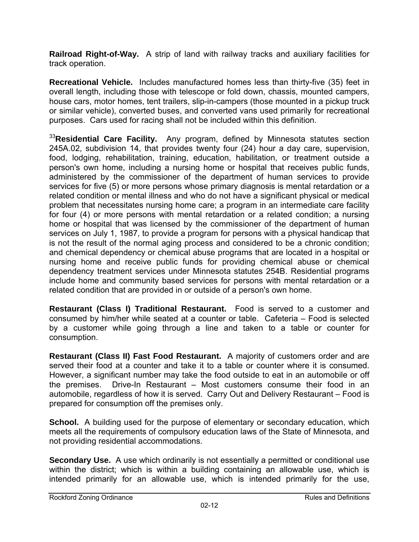**Railroad Right-of-Way.** A strip of land with railway tracks and auxiliary facilities for track operation.

**Recreational Vehicle.** Includes manufactured homes less than thirty-five (35) feet in overall length, including those with telescope or fold down, chassis, mounted campers, house cars, motor homes, tent trailers, slip-in-campers (those mounted in a pickup truck or similar vehicle), converted buses, and converted vans used primarily for recreational purposes. Cars used for racing shall not be included within this definition.

<sup>33</sup>**Residential Care Facility.** Any program, defined by Minnesota statutes section 245A.02, subdivision 14, that provides twenty four (24) hour a day care, supervision, food, lodging, rehabilitation, training, education, habilitation, or treatment outside a person's own home, including a nursing home or hospital that receives public funds, administered by the commissioner of the department of human services to provide services for five (5) or more persons whose primary diagnosis is mental retardation or a related condition or mental illness and who do not have a significant physical or medical problem that necessitates nursing home care; a program in an intermediate care facility for four (4) or more persons with mental retardation or a related condition; a nursing home or hospital that was licensed by the commissioner of the department of human services on July 1, 1987, to provide a program for persons with a physical handicap that is not the result of the normal aging process and considered to be a chronic condition; and chemical dependency or chemical abuse programs that are located in a hospital or nursing home and receive public funds for providing chemical abuse or chemical dependency treatment services under Minnesota statutes 254B. Residential programs include home and community based services for persons with mental retardation or a related condition that are provided in or outside of a person's own home.

**Restaurant (Class I) Traditional Restaurant.** Food is served to a customer and consumed by him/her while seated at a counter or table. Cafeteria – Food is selected by a customer while going through a line and taken to a table or counter for consumption.

**Restaurant (Class II) Fast Food Restaurant.** A majority of customers order and are served their food at a counter and take it to a table or counter where it is consumed. However, a significant number may take the food outside to eat in an automobile or off the premises. Drive-In Restaurant – Most customers consume their food in an automobile, regardless of how it is served. Carry Out and Delivery Restaurant – Food is prepared for consumption off the premises only.

**School.** A building used for the purpose of elementary or secondary education, which meets all the requirements of compulsory education laws of the State of Minnesota, and not providing residential accommodations.

**Secondary Use.** A use which ordinarily is not essentially a permitted or conditional use within the district; which is within a building containing an allowable use, which is intended primarily for an allowable use, which is intended primarily for the use,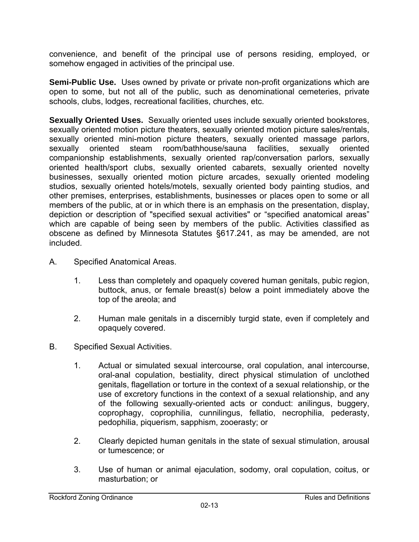convenience, and benefit of the principal use of persons residing, employed, or somehow engaged in activities of the principal use.

**Semi-Public Use.** Uses owned by private or private non-profit organizations which are open to some, but not all of the public, such as denominational cemeteries, private schools, clubs, lodges, recreational facilities, churches, etc.

**Sexually Oriented Uses.** Sexually oriented uses include sexually oriented bookstores, sexually oriented motion picture theaters, sexually oriented motion picture sales/rentals, sexually oriented mini-motion picture theaters, sexually oriented massage parlors, sexually oriented steam room/bathhouse/sauna facilities, sexually oriented companionship establishments, sexually oriented rap/conversation parlors, sexually oriented health/sport clubs, sexually oriented cabarets, sexually oriented novelty businesses, sexually oriented motion picture arcades, sexually oriented modeling studios, sexually oriented hotels/motels, sexually oriented body painting studios, and other premises, enterprises, establishments, businesses or places open to some or all members of the public, at or in which there is an emphasis on the presentation, display, depiction or description of "specified sexual activities" or "specified anatomical areas" which are capable of being seen by members of the public. Activities classified as obscene as defined by Minnesota Statutes §617.241, as may be amended, are not included.

- A. Specified Anatomical Areas.
	- 1. Less than completely and opaquely covered human genitals, pubic region, buttock, anus, or female breast(s) below a point immediately above the top of the areola; and
	- 2. Human male genitals in a discernibly turgid state, even if completely and opaquely covered.
- B. Specified Sexual Activities.
	- 1. Actual or simulated sexual intercourse, oral copulation, anal intercourse, oral-anal copulation, bestiality, direct physical stimulation of unclothed genitals, flagellation or torture in the context of a sexual relationship, or the use of excretory functions in the context of a sexual relationship, and any of the following sexually-oriented acts or conduct: anilingus, buggery, coprophagy, coprophilia, cunnilingus, fellatio, necrophilia, pederasty, pedophilia, piquerism, sapphism, zooerasty; or
	- 2. Clearly depicted human genitals in the state of sexual stimulation, arousal or tumescence; or
	- 3. Use of human or animal ejaculation, sodomy, oral copulation, coitus, or masturbation; or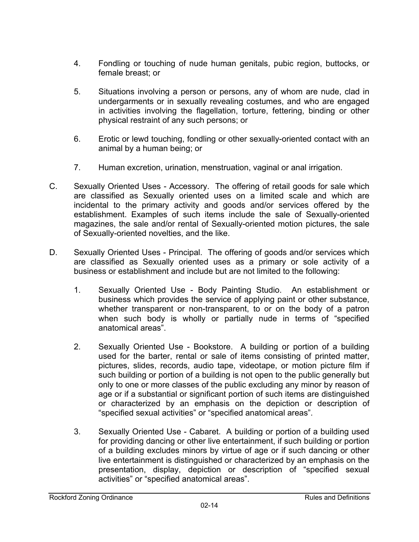- 4. Fondling or touching of nude human genitals, pubic region, buttocks, or female breast; or
- 5. Situations involving a person or persons, any of whom are nude, clad in undergarments or in sexually revealing costumes, and who are engaged in activities involving the flagellation, torture, fettering, binding or other physical restraint of any such persons; or
- 6. Erotic or lewd touching, fondling or other sexually-oriented contact with an animal by a human being; or
- 7. Human excretion, urination, menstruation, vaginal or anal irrigation.
- C. Sexually Oriented Uses Accessory. The offering of retail goods for sale which are classified as Sexually oriented uses on a limited scale and which are incidental to the primary activity and goods and/or services offered by the establishment. Examples of such items include the sale of Sexually-oriented magazines, the sale and/or rental of Sexually-oriented motion pictures, the sale of Sexually-oriented novelties, and the like.
- D. Sexually Oriented Uses Principal. The offering of goods and/or services which are classified as Sexually oriented uses as a primary or sole activity of a business or establishment and include but are not limited to the following:
	- 1. Sexually Oriented Use Body Painting Studio. An establishment or business which provides the service of applying paint or other substance, whether transparent or non-transparent, to or on the body of a patron when such body is wholly or partially nude in terms of "specified anatomical areas".
	- 2. Sexually Oriented Use Bookstore. A building or portion of a building used for the barter, rental or sale of items consisting of printed matter, pictures, slides, records, audio tape, videotape, or motion picture film if such building or portion of a building is not open to the public generally but only to one or more classes of the public excluding any minor by reason of age or if a substantial or significant portion of such items are distinguished or characterized by an emphasis on the depiction or description of "specified sexual activities" or "specified anatomical areas".
	- 3. Sexually Oriented Use Cabaret. A building or portion of a building used for providing dancing or other live entertainment, if such building or portion of a building excludes minors by virtue of age or if such dancing or other live entertainment is distinguished or characterized by an emphasis on the presentation, display, depiction or description of "specified sexual activities" or "specified anatomical areas".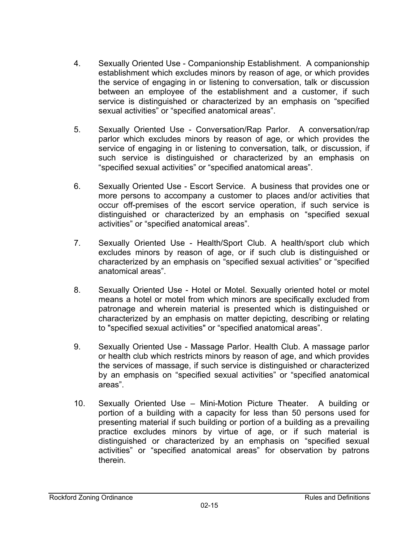- 4. Sexually Oriented Use Companionship Establishment. A companionship establishment which excludes minors by reason of age, or which provides the service of engaging in or listening to conversation, talk or discussion between an employee of the establishment and a customer, if such service is distinguished or characterized by an emphasis on "specified sexual activities" or "specified anatomical areas".
- 5. Sexually Oriented Use Conversation/Rap Parlor. A conversation/rap parlor which excludes minors by reason of age, or which provides the service of engaging in or listening to conversation, talk, or discussion, if such service is distinguished or characterized by an emphasis on "specified sexual activities" or "specified anatomical areas".
- 6. Sexually Oriented Use Escort Service. A business that provides one or more persons to accompany a customer to places and/or activities that occur off-premises of the escort service operation, if such service is distinguished or characterized by an emphasis on "specified sexual activities" or "specified anatomical areas".
- 7. Sexually Oriented Use Health/Sport Club. A health/sport club which excludes minors by reason of age, or if such club is distinguished or characterized by an emphasis on "specified sexual activities" or "specified anatomical areas".
- 8. Sexually Oriented Use Hotel or Motel. Sexually oriented hotel or motel means a hotel or motel from which minors are specifically excluded from patronage and wherein material is presented which is distinguished or characterized by an emphasis on matter depicting, describing or relating to "specified sexual activities" or "specified anatomical areas".
- 9. Sexually Oriented Use Massage Parlor. Health Club. A massage parlor or health club which restricts minors by reason of age, and which provides the services of massage, if such service is distinguished or characterized by an emphasis on "specified sexual activities" or "specified anatomical areas".
- 10. Sexually Oriented Use Mini-Motion Picture Theater. A building or portion of a building with a capacity for less than 50 persons used for presenting material if such building or portion of a building as a prevailing practice excludes minors by virtue of age, or if such material is distinguished or characterized by an emphasis on "specified sexual activities" or "specified anatomical areas" for observation by patrons therein.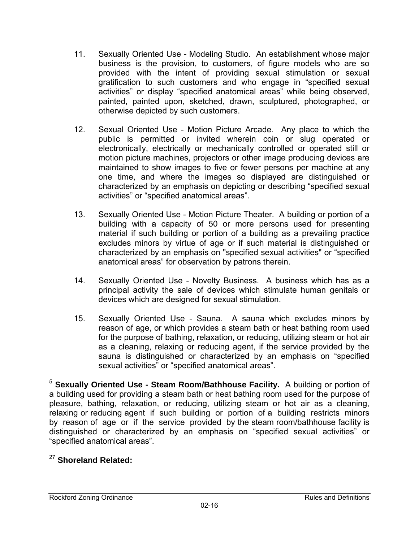- 11. Sexually Oriented Use Modeling Studio. An establishment whose major business is the provision, to customers, of figure models who are so provided with the intent of providing sexual stimulation or sexual gratification to such customers and who engage in "specified sexual activities" or display "specified anatomical areas" while being observed, painted, painted upon, sketched, drawn, sculptured, photographed, or otherwise depicted by such customers.
- 12. Sexual Oriented Use Motion Picture Arcade. Any place to which the public is permitted or invited wherein coin or slug operated or electronically, electrically or mechanically controlled or operated still or motion picture machines, projectors or other image producing devices are maintained to show images to five or fewer persons per machine at any one time, and where the images so displayed are distinguished or characterized by an emphasis on depicting or describing "specified sexual activities" or "specified anatomical areas".
- 13. Sexually Oriented Use Motion Picture Theater. A building or portion of a building with a capacity of 50 or more persons used for presenting material if such building or portion of a building as a prevailing practice excludes minors by virtue of age or if such material is distinguished or characterized by an emphasis on "specified sexual activities" or "specified anatomical areas" for observation by patrons therein.
- 14. Sexually Oriented Use Novelty Business. A business which has as a principal activity the sale of devices which stimulate human genitals or devices which are designed for sexual stimulation.
- 15. Sexually Oriented Use Sauna. A sauna which excludes minors by reason of age, or which provides a steam bath or heat bathing room used for the purpose of bathing, relaxation, or reducing, utilizing steam or hot air as a cleaning, relaxing or reducing agent, if the service provided by the sauna is distinguished or characterized by an emphasis on "specified sexual activities" or "specified anatomical areas".

<sup>5</sup> **Sexually Oriented Use - Steam Room/Bathhouse Facility.** A building or portion of a building used for providing a steam bath or heat bathing room used for the purpose of pleasure, bathing, relaxation, or reducing, utilizing steam or hot air as a cleaning, relaxing or reducing agent if such building or portion of a building restricts minors by reason of age or if the service provided by the steam room/bathhouse facility is distinguished or characterized by an emphasis on "specified sexual activities" or "specified anatomical areas".

# <sup>27</sup> **Shoreland Related:**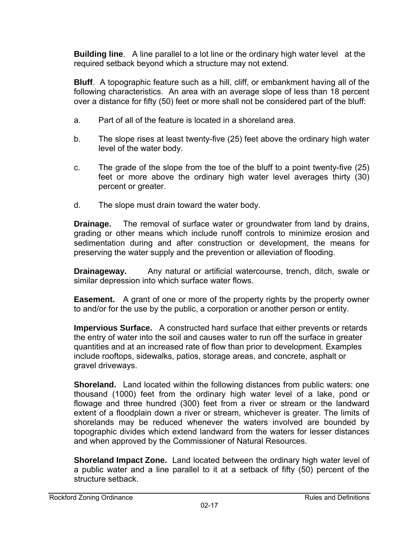**Building line**. A line parallel to a lot line or the ordinary high water level at the required setback beyond which a structure may not extend.

**Bluff**. A topographic feature such as a hill, cliff, or embankment having all of the following characteristics. An area with an average slope of less than 18 percent over a distance for fifty (50) feet or more shall not be considered part of the bluff:

- a. Part of all of the feature is located in a shoreland area.
- b. The slope rises at least twenty-five (25) feet above the ordinary high water level of the water body.
- c. The grade of the slope from the toe of the bluff to a point twenty-five (25) feet or more above the ordinary high water level averages thirty (30) percent or greater.
- d. The slope must drain toward the water body.

**Drainage.** The removal of surface water or groundwater from land by drains, grading or other means which include runoff controls to minimize erosion and sedimentation during and after construction or development, the means for preserving the water supply and the prevention or alleviation of flooding.

**Drainageway.** Any natural or artificial watercourse, trench, ditch, swale or similar depression into which surface water flows.

**Easement.** A grant of one or more of the property rights by the property owner to and/or for the use by the public, a corporation or another person or entity.

**Impervious Surface.** A constructed hard surface that either prevents or retards the entry of water into the soil and causes water to run off the surface in greater quantities and at an increased rate of flow than prior to development. Examples include rooftops, sidewalks, patios, storage areas, and concrete, asphalt or gravel driveways.

**Shoreland.** Land located within the following distances from public waters: one thousand (1000) feet from the ordinary high water level of a lake, pond or flowage and three hundred (300) feet from a river or stream or the landward extent of a floodplain down a river or stream, whichever is greater. The limits of shorelands may be reduced whenever the waters involved are bounded by topographic divides which extend landward from the waters for lesser distances and when approved by the Commissioner of Natural Resources.

**Shoreland Impact Zone.** Land located between the ordinary high water level of a public water and a line parallel to it at a setback of fifty (50) percent of the structure setback.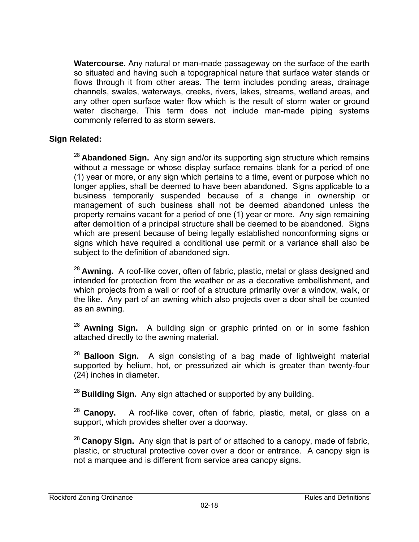**Watercourse.** Any natural or man-made passageway on the surface of the earth so situated and having such a topographical nature that surface water stands or flows through it from other areas. The term includes ponding areas, drainage channels, swales, waterways, creeks, rivers, lakes, streams, wetland areas, and any other open surface water flow which is the result of storm water or ground water discharge. This term does not include man-made piping systems commonly referred to as storm sewers.

#### **Sign Related:**

<sup>28</sup>**Abandoned Sign.** Any sign and/or its supporting sign structure which remains without a message or whose display surface remains blank for a period of one (1) year or more, or any sign which pertains to a time, event or purpose which no longer applies, shall be deemed to have been abandoned. Signs applicable to a business temporarily suspended because of a change in ownership or management of such business shall not be deemed abandoned unless the property remains vacant for a period of one (1) year or more. Any sign remaining after demolition of a principal structure shall be deemed to be abandoned. Signs which are present because of being legally established nonconforming signs or signs which have required a conditional use permit or a variance shall also be subject to the definition of abandoned sign.

<sup>28</sup>**Awning.** A roof-like cover, often of fabric, plastic, metal or glass designed and intended for protection from the weather or as a decorative embellishment, and which projects from a wall or roof of a structure primarily over a window, walk, or the like. Any part of an awning which also projects over a door shall be counted as an awning.

<sup>28</sup>**Awning Sign.** A building sign or graphic printed on or in some fashion attached directly to the awning material.

<sup>28</sup>**Balloon Sign.** A sign consisting of a bag made of lightweight material supported by helium, hot, or pressurized air which is greater than twenty-four (24) inches in diameter.

<sup>28</sup>**Building Sign.** Any sign attached or supported by any building.

<sup>28</sup>**Canopy.** A roof-like cover, often of fabric, plastic, metal, or glass on a support, which provides shelter over a doorway.

<sup>28</sup>**Canopy Sign.** Any sign that is part of or attached to a canopy, made of fabric, plastic, or structural protective cover over a door or entrance. A canopy sign is not a marquee and is different from service area canopy signs.

#### Rockford Zoning Ordinance **Rules and Definitions** Rules and Definitions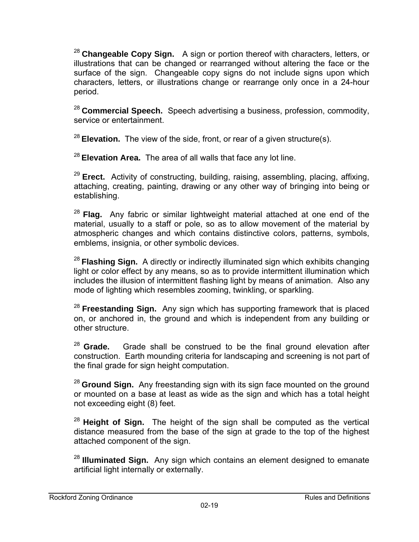<sup>28</sup>**Changeable Copy Sign.** A sign or portion thereof with characters, letters, or illustrations that can be changed or rearranged without altering the face or the surface of the sign. Changeable copy signs do not include signs upon which characters, letters, or illustrations change or rearrange only once in a 24-hour period.

<sup>28</sup>**Commercial Speech.** Speech advertising a business, profession, commodity, service or entertainment.

<sup>28</sup>**Elevation.** The view of the side, front, or rear of a given structure(s).

<sup>28</sup>**Elevation Area.** The area of all walls that face any lot line.

<sup>29</sup>**Erect.** Activity of constructing, building, raising, assembling, placing, affixing, attaching, creating, painting, drawing or any other way of bringing into being or establishing.

<sup>28</sup> Flag. Any fabric or similar lightweight material attached at one end of the material, usually to a staff or pole, so as to allow movement of the material by atmospheric changes and which contains distinctive colors, patterns, symbols, emblems, insignia, or other symbolic devices.

<sup>28</sup>**Flashing Sign.** A directly or indirectly illuminated sign which exhibits changing light or color effect by any means, so as to provide intermittent illumination which includes the illusion of intermittent flashing light by means of animation. Also any mode of lighting which resembles zooming, twinkling, or sparkling.

<sup>28</sup>**Freestanding Sign.** Any sign which has supporting framework that is placed on, or anchored in, the ground and which is independent from any building or other structure.

<sup>28</sup>**Grade.** Grade shall be construed to be the final ground elevation after construction. Earth mounding criteria for landscaping and screening is not part of the final grade for sign height computation.

<sup>28</sup> Ground Sign. Any freestanding sign with its sign face mounted on the ground or mounted on a base at least as wide as the sign and which has a total height not exceeding eight (8) feet.

<sup>28</sup>**Height of Sign.** The height of the sign shall be computed as the vertical distance measured from the base of the sign at grade to the top of the highest attached component of the sign.

<sup>28</sup>**Illuminated Sign.** Any sign which contains an element designed to emanate artificial light internally or externally.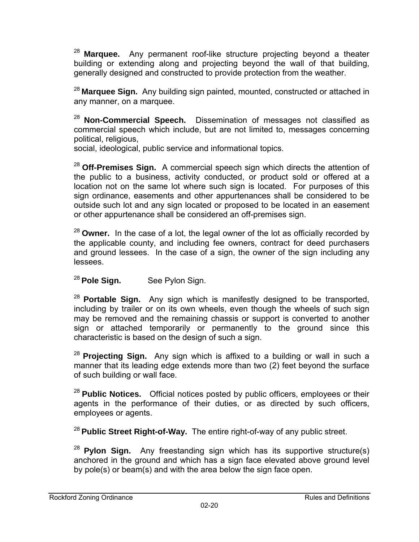<sup>28</sup>**Marquee.** Any permanent roof-like structure projecting beyond a theater building or extending along and projecting beyond the wall of that building, generally designed and constructed to provide protection from the weather.

<sup>28</sup>**Marquee Sign.** Any building sign painted, mounted, constructed or attached in any manner, on a marquee.

<sup>28</sup>**Non-Commercial Speech.** Dissemination of messages not classified as commercial speech which include, but are not limited to, messages concerning political, religious,

social, ideological, public service and informational topics.

<sup>28</sup>**Off-Premises Sign.** A commercial speech sign which directs the attention of the public to a business, activity conducted, or product sold or offered at a location not on the same lot where such sign is located. For purposes of this sign ordinance, easements and other appurtenances shall be considered to be outside such lot and any sign located or proposed to be located in an easement or other appurtenance shall be considered an off-premises sign.

<sup>28</sup>**Owner.** In the case of a lot, the legal owner of the lot as officially recorded by the applicable county, and including fee owners, contract for deed purchasers and ground lessees. In the case of a sign, the owner of the sign including any lessees.

<sup>28</sup>**Pole Sign.** See Pylon Sign.

<sup>28</sup>**Portable Sign.** Any sign which is manifestly designed to be transported, including by trailer or on its own wheels, even though the wheels of such sign may be removed and the remaining chassis or support is converted to another sign or attached temporarily or permanently to the ground since this characteristic is based on the design of such a sign.

<sup>28</sup>**Projecting Sign.** Any sign which is affixed to a building or wall in such a manner that its leading edge extends more than two (2) feet beyond the surface of such building or wall face.

<sup>28</sup>**Public Notices.** Official notices posted by public officers, employees or their agents in the performance of their duties, or as directed by such officers, employees or agents.

<sup>28</sup> Public Street Right-of-Way. The entire right-of-way of any public street.

<sup>28</sup>**Pylon Sign.** Any freestanding sign which has its supportive structure(s) anchored in the ground and which has a sign face elevated above ground level by pole(s) or beam(s) and with the area below the sign face open.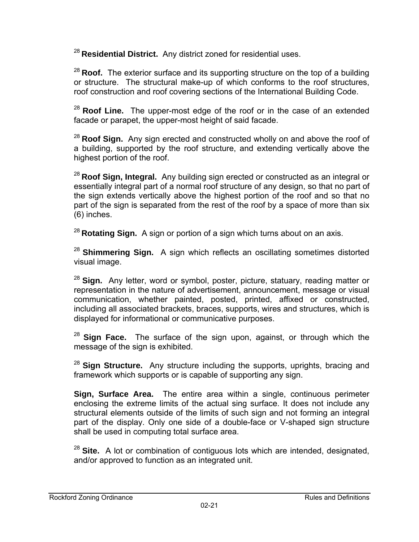<sup>28</sup>**Residential District.** Any district zoned for residential uses.

<sup>28</sup>**Roof.** The exterior surface and its supporting structure on the top of a building or structure. The structural make-up of which conforms to the roof structures, roof construction and roof covering sections of the International Building Code.

<sup>28</sup>**Roof Line.** The upper-most edge of the roof or in the case of an extended facade or parapet, the upper-most height of said facade.

<sup>28</sup>**Roof Sign.** Any sign erected and constructed wholly on and above the roof of a building, supported by the roof structure, and extending vertically above the highest portion of the roof.

<sup>28</sup>**Roof Sign, Integral.** Any building sign erected or constructed as an integral or essentially integral part of a normal roof structure of any design, so that no part of the sign extends vertically above the highest portion of the roof and so that no part of the sign is separated from the rest of the roof by a space of more than six (6) inches.

<sup>28</sup>**Rotating Sign.** A sign or portion of a sign which turns about on an axis.

<sup>28</sup>**Shimmering Sign.** A sign which reflects an oscillating sometimes distorted visual image.

<sup>28</sup>**Sign.** Any letter, word or symbol, poster, picture, statuary, reading matter or representation in the nature of advertisement, announcement, message or visual communication, whether painted, posted, printed, affixed or constructed, including all associated brackets, braces, supports, wires and structures, which is displayed for informational or communicative purposes.

<sup>28</sup>**Sign Face.** The surface of the sign upon, against, or through which the message of the sign is exhibited.

<sup>28</sup>**Sign Structure.** Any structure including the supports, uprights, bracing and framework which supports or is capable of supporting any sign.

**Sign, Surface Area.** The entire area within a single, continuous perimeter enclosing the extreme limits of the actual sing surface. It does not include any structural elements outside of the limits of such sign and not forming an integral part of the display. Only one side of a double-face or V-shaped sign structure shall be used in computing total surface area.

<sup>28</sup>**Site.** A lot or combination of contiguous lots which are intended, designated, and/or approved to function as an integrated unit.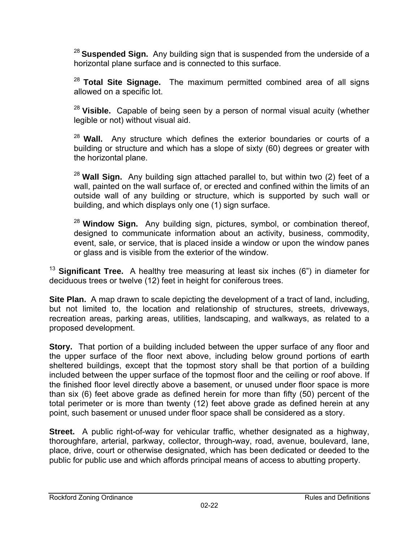<sup>28</sup> Suspended Sign. Any building sign that is suspended from the underside of a horizontal plane surface and is connected to this surface.

<sup>28</sup>**Total Site Signage.** The maximum permitted combined area of all signs allowed on a specific lot.

<sup>28</sup>**Visible.** Capable of being seen by a person of normal visual acuity (whether legible or not) without visual aid.

<sup>28</sup>**Wall.** Any structure which defines the exterior boundaries or courts of a building or structure and which has a slope of sixty (60) degrees or greater with the horizontal plane.

<sup>28</sup>**Wall Sign.** Any building sign attached parallel to, but within two (2) feet of a wall, painted on the wall surface of, or erected and confined within the limits of an outside wall of any building or structure, which is supported by such wall or building, and which displays only one (1) sign surface.

<sup>28</sup>**Window Sign.** Any building sign, pictures, symbol, or combination thereof, designed to communicate information about an activity, business, commodity, event, sale, or service, that is placed inside a window or upon the window panes or glass and is visible from the exterior of the window.

<sup>13</sup> Significant Tree. A healthy tree measuring at least six inches (6") in diameter for deciduous trees or twelve (12) feet in height for coniferous trees.

**Site Plan.** A map drawn to scale depicting the development of a tract of land, including, but not limited to, the location and relationship of structures, streets, driveways, recreation areas, parking areas, utilities, landscaping, and walkways, as related to a proposed development.

**Story.** That portion of a building included between the upper surface of any floor and the upper surface of the floor next above, including below ground portions of earth sheltered buildings, except that the topmost story shall be that portion of a building included between the upper surface of the topmost floor and the ceiling or roof above. If the finished floor level directly above a basement, or unused under floor space is more than six (6) feet above grade as defined herein for more than fifty (50) percent of the total perimeter or is more than twenty (12) feet above grade as defined herein at any point, such basement or unused under floor space shall be considered as a story.

**Street.** A public right-of-way for vehicular traffic, whether designated as a highway, thoroughfare, arterial, parkway, collector, through-way, road, avenue, boulevard, lane, place, drive, court or otherwise designated, which has been dedicated or deeded to the public for public use and which affords principal means of access to abutting property.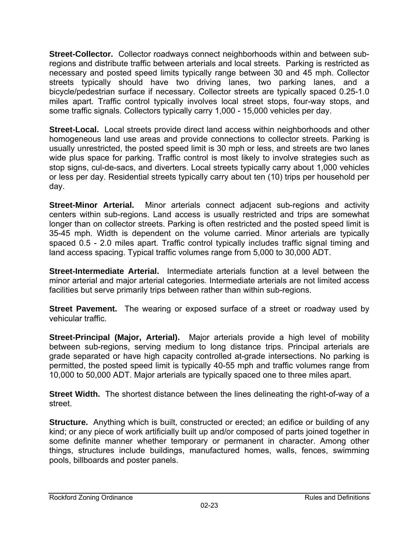**Street-Collector.** Collector roadways connect neighborhoods within and between subregions and distribute traffic between arterials and local streets. Parking is restricted as necessary and posted speed limits typically range between 30 and 45 mph. Collector streets typically should have two driving lanes, two parking lanes, and a bicycle/pedestrian surface if necessary. Collector streets are typically spaced 0.25-1.0 miles apart. Traffic control typically involves local street stops, four-way stops, and some traffic signals. Collectors typically carry 1,000 - 15,000 vehicles per day.

**Street-Local.** Local streets provide direct land access within neighborhoods and other homogeneous land use areas and provide connections to collector streets. Parking is usually unrestricted, the posted speed limit is 30 mph or less, and streets are two lanes wide plus space for parking. Traffic control is most likely to involve strategies such as stop signs, cul-de-sacs, and diverters. Local streets typically carry about 1,000 vehicles or less per day. Residential streets typically carry about ten (10) trips per household per day.

**Street-Minor Arterial.** Minor arterials connect adjacent sub-regions and activity centers within sub-regions. Land access is usually restricted and trips are somewhat longer than on collector streets. Parking is often restricted and the posted speed limit is 35-45 mph. Width is dependent on the volume carried. Minor arterials are typically spaced 0.5 - 2.0 miles apart. Traffic control typically includes traffic signal timing and land access spacing. Typical traffic volumes range from 5,000 to 30,000 ADT.

**Street-Intermediate Arterial.** Intermediate arterials function at a level between the minor arterial and major arterial categories. Intermediate arterials are not limited access facilities but serve primarily trips between rather than within sub-regions.

**Street Pavement.** The wearing or exposed surface of a street or roadway used by vehicular traffic.

**Street-Principal (Major, Arterial).** Major arterials provide a high level of mobility between sub-regions, serving medium to long distance trips. Principal arterials are grade separated or have high capacity controlled at-grade intersections. No parking is permitted, the posted speed limit is typically 40-55 mph and traffic volumes range from 10,000 to 50,000 ADT. Major arterials are typically spaced one to three miles apart.

**Street Width.** The shortest distance between the lines delineating the right-of-way of a street.

**Structure.** Anything which is built, constructed or erected; an edifice or building of any kind; or any piece of work artificially built up and/or composed of parts joined together in some definite manner whether temporary or permanent in character. Among other things, structures include buildings, manufactured homes, walls, fences, swimming pools, billboards and poster panels.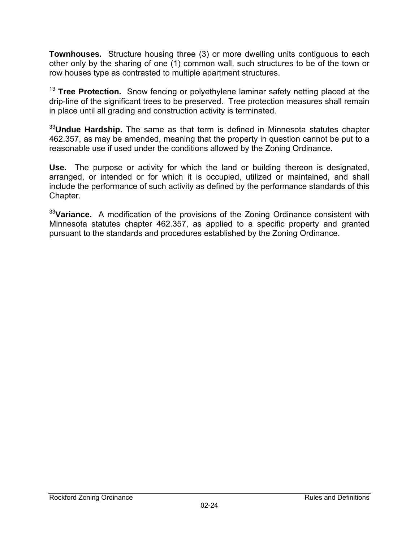**Townhouses.** Structure housing three (3) or more dwelling units contiguous to each other only by the sharing of one (1) common wall, such structures to be of the town or row houses type as contrasted to multiple apartment structures.

<sup>13</sup> **Tree Protection.** Snow fencing or polyethylene laminar safety netting placed at the drip-line of the significant trees to be preserved. Tree protection measures shall remain in place until all grading and construction activity is terminated.

<sup>33</sup>**Undue Hardship.** The same as that term is defined in Minnesota statutes chapter 462.357, as may be amended, meaning that the property in question cannot be put to a reasonable use if used under the conditions allowed by the Zoning Ordinance.

**Use.** The purpose or activity for which the land or building thereon is designated, arranged, or intended or for which it is occupied, utilized or maintained, and shall include the performance of such activity as defined by the performance standards of this Chapter.

<sup>33</sup>**Variance.** A modification of the provisions of the Zoning Ordinance consistent with Minnesota statutes chapter 462.357, as applied to a specific property and granted pursuant to the standards and procedures established by the Zoning Ordinance.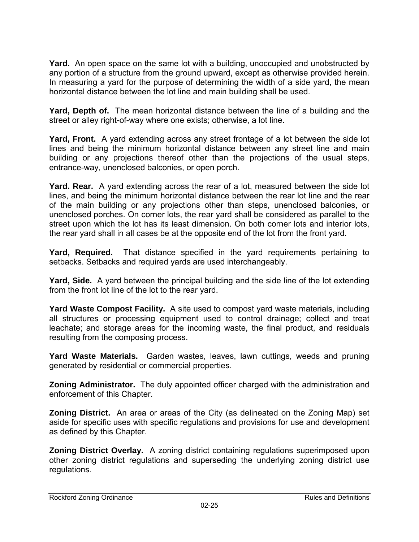**Yard.** An open space on the same lot with a building, unoccupied and unobstructed by any portion of a structure from the ground upward, except as otherwise provided herein. In measuring a yard for the purpose of determining the width of a side yard, the mean horizontal distance between the lot line and main building shall be used.

**Yard, Depth of.** The mean horizontal distance between the line of a building and the street or alley right-of-way where one exists; otherwise, a lot line.

**Yard, Front.** A yard extending across any street frontage of a lot between the side lot lines and being the minimum horizontal distance between any street line and main building or any projections thereof other than the projections of the usual steps, entrance-way, unenclosed balconies, or open porch.

**Yard. Rear.** A yard extending across the rear of a lot, measured between the side lot lines, and being the minimum horizontal distance between the rear lot line and the rear of the main building or any projections other than steps, unenclosed balconies, or unenclosed porches. On corner lots, the rear yard shall be considered as parallel to the street upon which the lot has its least dimension. On both corner lots and interior lots, the rear yard shall in all cases be at the opposite end of the lot from the front yard.

**Yard, Required.** That distance specified in the yard requirements pertaining to setbacks. Setbacks and required yards are used interchangeably.

**Yard, Side.** A yard between the principal building and the side line of the lot extending from the front lot line of the lot to the rear yard.

**Yard Waste Compost Facility.** A site used to compost yard waste materials, including all structures or processing equipment used to control drainage; collect and treat leachate; and storage areas for the incoming waste, the final product, and residuals resulting from the composing process.

**Yard Waste Materials.** Garden wastes, leaves, lawn cuttings, weeds and pruning generated by residential or commercial properties.

**Zoning Administrator.** The duly appointed officer charged with the administration and enforcement of this Chapter.

**Zoning District.** An area or areas of the City (as delineated on the Zoning Map) set aside for specific uses with specific regulations and provisions for use and development as defined by this Chapter.

**Zoning District Overlay.** A zoning district containing regulations superimposed upon other zoning district regulations and superseding the underlying zoning district use regulations.